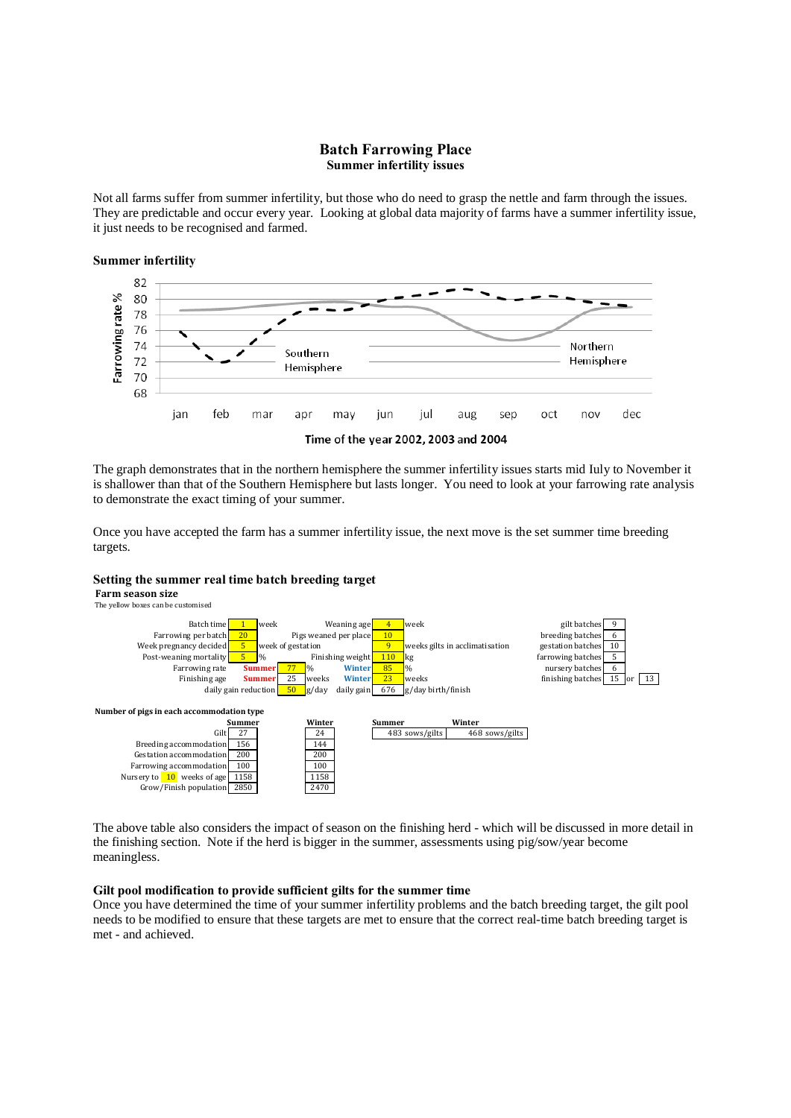# **Batch Farrowing Place Summer infertility issues**

Not all farms suffer from summer infertility, but those who do need to grasp the nettle and farm through the issues. They are predictable and occur every year. Looking at global data majority of farms have a summer infertility issue, it just needs to be recognised and farmed.





Time of the year 2002, 2003 and 2004

The graph demonstrates that in the northern hemisphere the summer infertility issues starts mid Iuly to November it is shallower than that of the Southern Hemisphere but lasts longer. You need to look at your farrowing rate analysis to demonstrate the exact timing of your summer.

Once you have accepted the farm has a summer infertility issue, the next move is the set summer time breeding targets.

## **Setting the summer real time batch breeding target**

**Farm season size** The yellow boxes can be customised



The above table also considers the impact of season on the finishing herd - which will be discussed in more detail in the finishing section. Note if the herd is bigger in the summer, assessments using pig/sow/year become meaningless.

### **Gilt pool modification to provide sufficient gilts for the summer time**

Once you have determined the time of your summer infertility problems and the batch breeding target, the gilt pool needs to be modified to ensure that these targets are met to ensure that the correct real-time batch breeding target is met - and achieved.